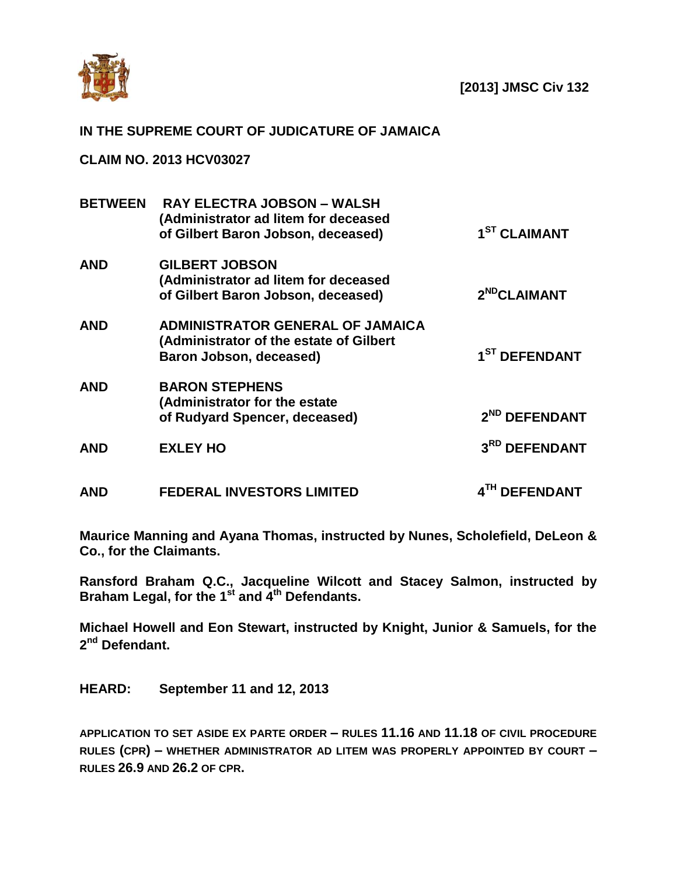

## **IN THE SUPREME COURT OF JUDICATURE OF JAMAICA**

**CLAIM NO. 2013 HCV03027**

| <b>BETWEEN</b> | <b>RAY ELECTRA JOBSON - WALSH</b><br>(Administrator ad litem for deceased<br>of Gilbert Baron Jobson, deceased) | 1 <sup>ST</sup> CLAIMANT  |
|----------------|-----------------------------------------------------------------------------------------------------------------|---------------------------|
| <b>AND</b>     | <b>GILBERT JOBSON</b><br>(Administrator ad litem for deceased<br>of Gilbert Baron Jobson, deceased)             | 2 <sup>ND</sup> CLAIMANT  |
| <b>AND</b>     | <b>ADMINISTRATOR GENERAL OF JAMAICA</b><br>(Administrator of the estate of Gilbert<br>Baron Jobson, deceased)   | 1 <sup>ST</sup> DEFENDANT |
| <b>AND</b>     | <b>BARON STEPHENS</b><br>(Administrator for the estate<br>of Rudyard Spencer, deceased)                         | 2 <sup>ND</sup> DEFENDANT |
| <b>AND</b>     | <b>EXLEY HO</b>                                                                                                 | 3RD DEFENDANT             |
| <b>AND</b>     | <b>FEDERAL INVESTORS LIMITED</b>                                                                                | <b>DEFENDANT</b>          |

**Maurice Manning and Ayana Thomas, instructed by Nunes, Scholefield, DeLeon & Co., for the Claimants.**

**Ransford Braham Q.C., Jacqueline Wilcott and Stacey Salmon, instructed by Braham Legal, for the 1st and 4th Defendants.**

**Michael Howell and Eon Stewart, instructed by Knight, Junior & Samuels, for the 2 nd Defendant.**

**HEARD: September 11 and 12, 2013**

**APPLICATION TO SET ASIDE EX PARTE ORDER – RULES 11.16 AND 11.18 OF CIVIL PROCEDURE RULES (CPR) – WHETHER ADMINISTRATOR AD LITEM WAS PROPERLY APPOINTED BY COURT – RULES 26.9 AND 26.2 OF CPR.**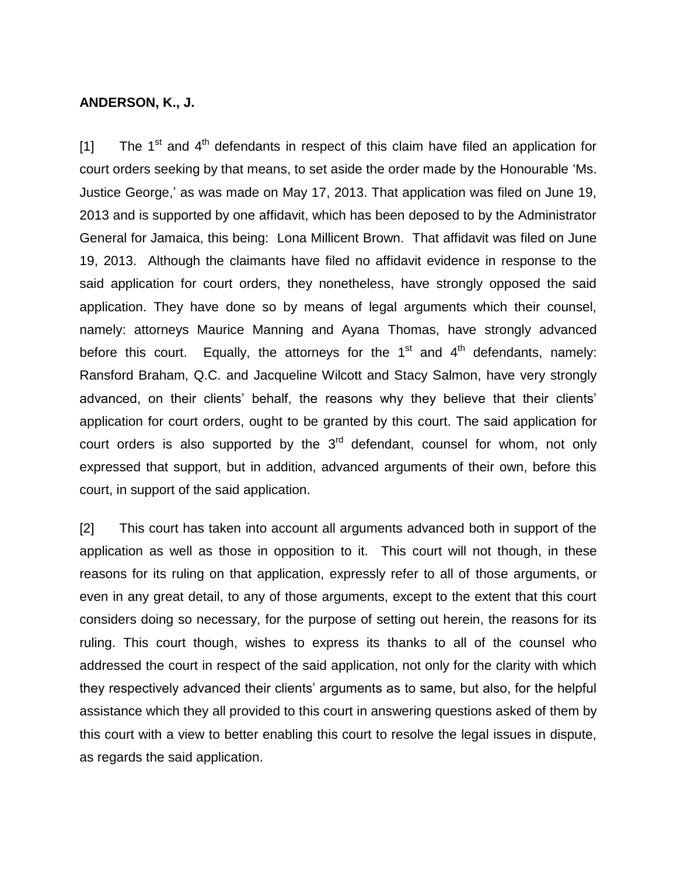## **ANDERSON, K., J.**

[1] The 1<sup>st</sup> and 4<sup>th</sup> defendants in respect of this claim have filed an application for court orders seeking by that means, to set aside the order made by the Honourable 'Ms. Justice George,' as was made on May 17, 2013. That application was filed on June 19, 2013 and is supported by one affidavit, which has been deposed to by the Administrator General for Jamaica, this being: Lona Millicent Brown. That affidavit was filed on June 19, 2013. Although the claimants have filed no affidavit evidence in response to the said application for court orders, they nonetheless, have strongly opposed the said application. They have done so by means of legal arguments which their counsel, namely: attorneys Maurice Manning and Ayana Thomas, have strongly advanced before this court. Equally, the attorneys for the 1<sup>st</sup> and 4<sup>th</sup> defendants, namely: Ransford Braham, Q.C. and Jacqueline Wilcott and Stacy Salmon, have very strongly advanced, on their clients' behalf, the reasons why they believe that their clients' application for court orders, ought to be granted by this court. The said application for court orders is also supported by the  $3<sup>rd</sup>$  defendant, counsel for whom, not only expressed that support, but in addition, advanced arguments of their own, before this court, in support of the said application.

[2] This court has taken into account all arguments advanced both in support of the application as well as those in opposition to it. This court will not though, in these reasons for its ruling on that application, expressly refer to all of those arguments, or even in any great detail, to any of those arguments, except to the extent that this court considers doing so necessary, for the purpose of setting out herein, the reasons for its ruling. This court though, wishes to express its thanks to all of the counsel who addressed the court in respect of the said application, not only for the clarity with which they respectively advanced their clients' arguments as to same, but also, for the helpful assistance which they all provided to this court in answering questions asked of them by this court with a view to better enabling this court to resolve the legal issues in dispute, as regards the said application.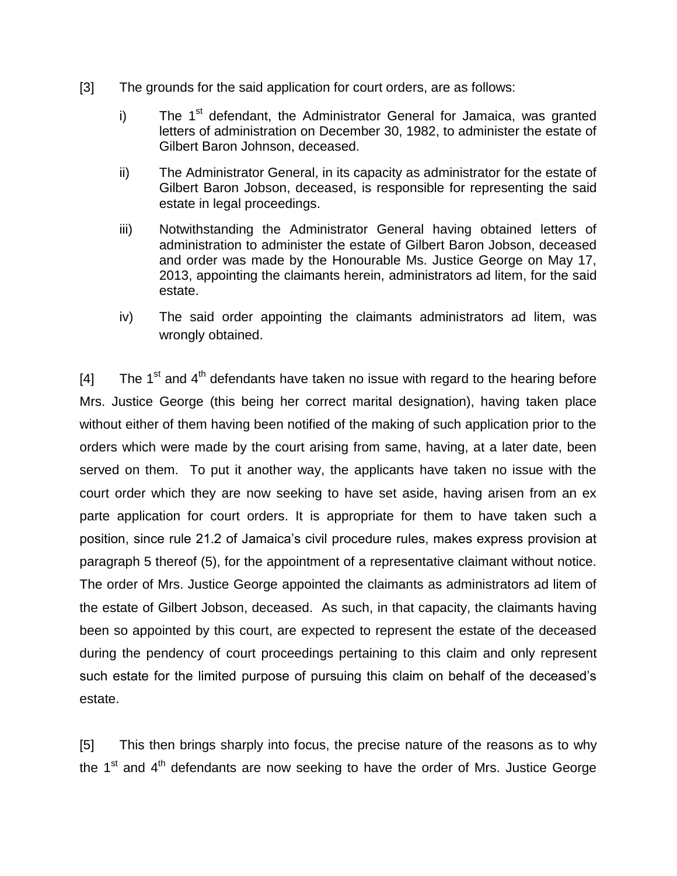- [3] The grounds for the said application for court orders, are as follows:
	- i) The 1<sup>st</sup> defendant, the Administrator General for Jamaica, was granted letters of administration on December 30, 1982, to administer the estate of Gilbert Baron Johnson, deceased.
	- ii) The Administrator General, in its capacity as administrator for the estate of Gilbert Baron Jobson, deceased, is responsible for representing the said estate in legal proceedings.
	- iii) Notwithstanding the Administrator General having obtained letters of administration to administer the estate of Gilbert Baron Jobson, deceased and order was made by the Honourable Ms. Justice George on May 17, 2013, appointing the claimants herein, administrators ad litem, for the said estate.
	- iv) The said order appointing the claimants administrators ad litem, was wrongly obtained.

[4] The 1<sup>st</sup> and 4<sup>th</sup> defendants have taken no issue with regard to the hearing before Mrs. Justice George (this being her correct marital designation), having taken place without either of them having been notified of the making of such application prior to the orders which were made by the court arising from same, having, at a later date, been served on them. To put it another way, the applicants have taken no issue with the court order which they are now seeking to have set aside, having arisen from an ex parte application for court orders. It is appropriate for them to have taken such a position, since rule 21.2 of Jamaica's civil procedure rules, makes express provision at paragraph 5 thereof (5), for the appointment of a representative claimant without notice. The order of Mrs. Justice George appointed the claimants as administrators ad litem of the estate of Gilbert Jobson, deceased. As such, in that capacity, the claimants having been so appointed by this court, are expected to represent the estate of the deceased during the pendency of court proceedings pertaining to this claim and only represent such estate for the limited purpose of pursuing this claim on behalf of the deceased's estate.

[5] This then brings sharply into focus, the precise nature of the reasons as to why the 1<sup>st</sup> and 4<sup>th</sup> defendants are now seeking to have the order of Mrs. Justice George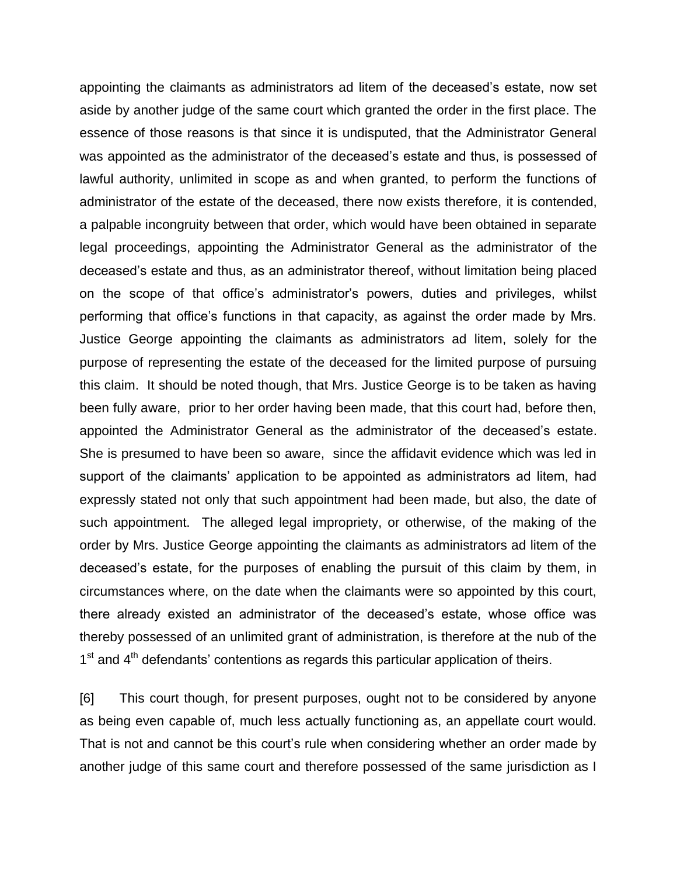appointing the claimants as administrators ad litem of the deceased's estate, now set aside by another judge of the same court which granted the order in the first place. The essence of those reasons is that since it is undisputed, that the Administrator General was appointed as the administrator of the deceased's estate and thus, is possessed of lawful authority, unlimited in scope as and when granted, to perform the functions of administrator of the estate of the deceased, there now exists therefore, it is contended, a palpable incongruity between that order, which would have been obtained in separate legal proceedings, appointing the Administrator General as the administrator of the deceased's estate and thus, as an administrator thereof, without limitation being placed on the scope of that office's administrator's powers, duties and privileges, whilst performing that office's functions in that capacity, as against the order made by Mrs. Justice George appointing the claimants as administrators ad litem, solely for the purpose of representing the estate of the deceased for the limited purpose of pursuing this claim. It should be noted though, that Mrs. Justice George is to be taken as having been fully aware, prior to her order having been made, that this court had, before then, appointed the Administrator General as the administrator of the deceased's estate. She is presumed to have been so aware, since the affidavit evidence which was led in support of the claimants' application to be appointed as administrators ad litem, had expressly stated not only that such appointment had been made, but also, the date of such appointment. The alleged legal impropriety, or otherwise, of the making of the order by Mrs. Justice George appointing the claimants as administrators ad litem of the deceased's estate, for the purposes of enabling the pursuit of this claim by them, in circumstances where, on the date when the claimants were so appointed by this court, there already existed an administrator of the deceased's estate, whose office was thereby possessed of an unlimited grant of administration, is therefore at the nub of the  $1<sup>st</sup>$  and  $4<sup>th</sup>$  defendants' contentions as regards this particular application of theirs.

[6] This court though, for present purposes, ought not to be considered by anyone as being even capable of, much less actually functioning as, an appellate court would. That is not and cannot be this court's rule when considering whether an order made by another judge of this same court and therefore possessed of the same jurisdiction as I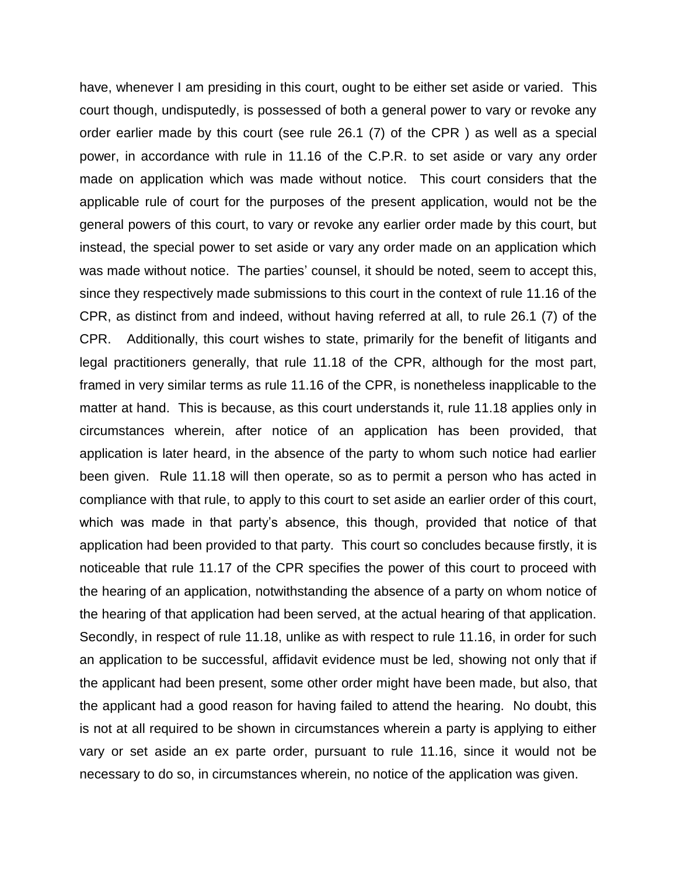have, whenever I am presiding in this court, ought to be either set aside or varied. This court though, undisputedly, is possessed of both a general power to vary or revoke any order earlier made by this court (see rule 26.1 (7) of the CPR ) as well as a special power, in accordance with rule in 11.16 of the C.P.R. to set aside or vary any order made on application which was made without notice. This court considers that the applicable rule of court for the purposes of the present application, would not be the general powers of this court, to vary or revoke any earlier order made by this court, but instead, the special power to set aside or vary any order made on an application which was made without notice. The parties' counsel, it should be noted, seem to accept this, since they respectively made submissions to this court in the context of rule 11.16 of the CPR, as distinct from and indeed, without having referred at all, to rule 26.1 (7) of the CPR. Additionally, this court wishes to state, primarily for the benefit of litigants and legal practitioners generally, that rule 11.18 of the CPR, although for the most part, framed in very similar terms as rule 11.16 of the CPR, is nonetheless inapplicable to the matter at hand. This is because, as this court understands it, rule 11.18 applies only in circumstances wherein, after notice of an application has been provided, that application is later heard, in the absence of the party to whom such notice had earlier been given. Rule 11.18 will then operate, so as to permit a person who has acted in compliance with that rule, to apply to this court to set aside an earlier order of this court, which was made in that party's absence, this though, provided that notice of that application had been provided to that party. This court so concludes because firstly, it is noticeable that rule 11.17 of the CPR specifies the power of this court to proceed with the hearing of an application, notwithstanding the absence of a party on whom notice of the hearing of that application had been served, at the actual hearing of that application. Secondly, in respect of rule 11.18, unlike as with respect to rule 11.16, in order for such an application to be successful, affidavit evidence must be led, showing not only that if the applicant had been present, some other order might have been made, but also, that the applicant had a good reason for having failed to attend the hearing. No doubt, this is not at all required to be shown in circumstances wherein a party is applying to either vary or set aside an ex parte order, pursuant to rule 11.16, since it would not be necessary to do so, in circumstances wherein, no notice of the application was given.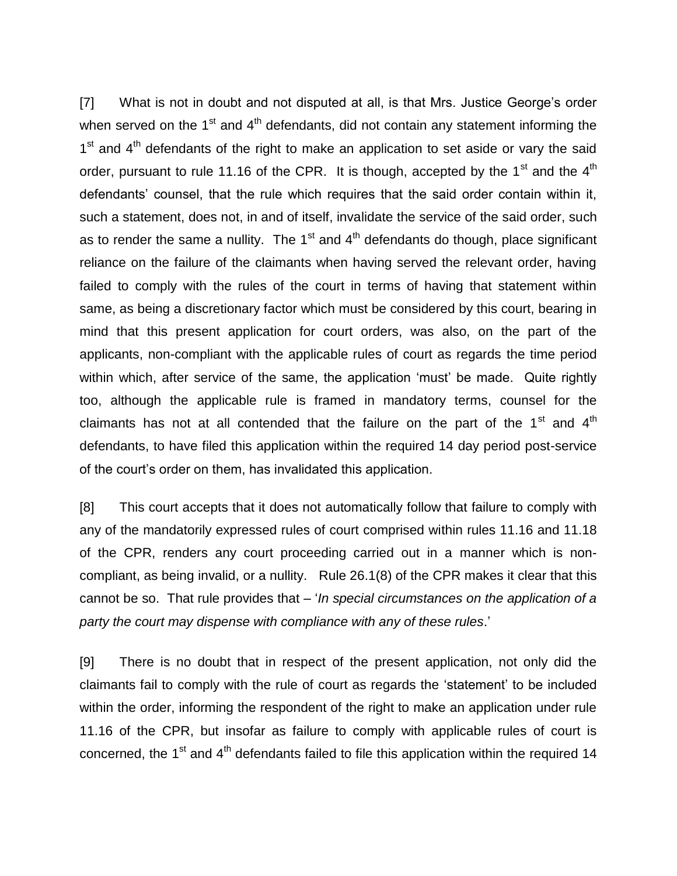[7] What is not in doubt and not disputed at all, is that Mrs. Justice George's order when served on the  $1<sup>st</sup>$  and  $4<sup>th</sup>$  defendants, did not contain any statement informing the  $1<sup>st</sup>$  and  $4<sup>th</sup>$  defendants of the right to make an application to set aside or vary the said order, pursuant to rule 11.16 of the CPR. It is though, accepted by the  $1<sup>st</sup>$  and the  $4<sup>th</sup>$ defendants' counsel, that the rule which requires that the said order contain within it, such a statement, does not, in and of itself, invalidate the service of the said order, such as to render the same a nullity. The  $1<sup>st</sup>$  and  $4<sup>th</sup>$  defendants do though, place significant reliance on the failure of the claimants when having served the relevant order, having failed to comply with the rules of the court in terms of having that statement within same, as being a discretionary factor which must be considered by this court, bearing in mind that this present application for court orders, was also, on the part of the applicants, non-compliant with the applicable rules of court as regards the time period within which, after service of the same, the application 'must' be made. Quite rightly too, although the applicable rule is framed in mandatory terms, counsel for the claimants has not at all contended that the failure on the part of the  $1<sup>st</sup>$  and  $4<sup>th</sup>$ defendants, to have filed this application within the required 14 day period post-service of the court's order on them, has invalidated this application.

[8] This court accepts that it does not automatically follow that failure to comply with any of the mandatorily expressed rules of court comprised within rules 11.16 and 11.18 of the CPR, renders any court proceeding carried out in a manner which is noncompliant, as being invalid, or a nullity. Rule 26.1(8) of the CPR makes it clear that this cannot be so. That rule provides that – '*In special circumstances on the application of a party the court may dispense with compliance with any of these rules*.'

[9] There is no doubt that in respect of the present application, not only did the claimants fail to comply with the rule of court as regards the 'statement' to be included within the order, informing the respondent of the right to make an application under rule 11.16 of the CPR, but insofar as failure to comply with applicable rules of court is concerned, the  $1<sup>st</sup>$  and  $4<sup>th</sup>$  defendants failed to file this application within the required 14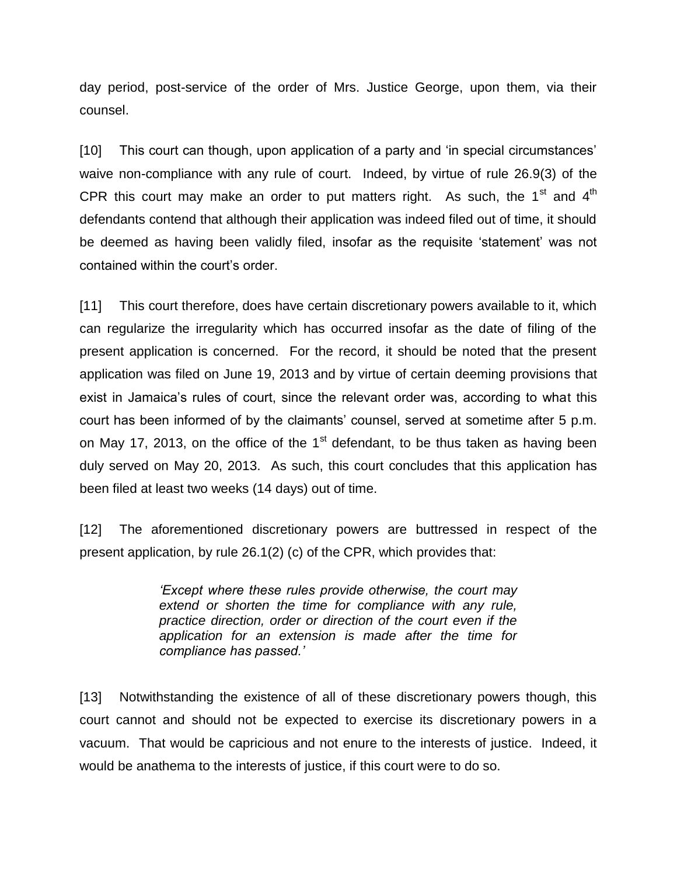day period, post-service of the order of Mrs. Justice George, upon them, via their counsel.

[10] This court can though, upon application of a party and 'in special circumstances' waive non-compliance with any rule of court. Indeed, by virtue of rule 26.9(3) of the CPR this court may make an order to put matters right. As such, the  $1<sup>st</sup>$  and  $4<sup>th</sup>$ defendants contend that although their application was indeed filed out of time, it should be deemed as having been validly filed, insofar as the requisite 'statement' was not contained within the court's order.

[11] This court therefore, does have certain discretionary powers available to it, which can regularize the irregularity which has occurred insofar as the date of filing of the present application is concerned. For the record, it should be noted that the present application was filed on June 19, 2013 and by virtue of certain deeming provisions that exist in Jamaica's rules of court, since the relevant order was, according to what this court has been informed of by the claimants' counsel, served at sometime after 5 p.m. on May 17, 2013, on the office of the  $1<sup>st</sup>$  defendant, to be thus taken as having been duly served on May 20, 2013. As such, this court concludes that this application has been filed at least two weeks (14 days) out of time.

[12] The aforementioned discretionary powers are buttressed in respect of the present application, by rule 26.1(2) (c) of the CPR, which provides that:

> *'Except where these rules provide otherwise, the court may extend or shorten the time for compliance with any rule, practice direction, order or direction of the court even if the application for an extension is made after the time for compliance has passed.'*

[13] Notwithstanding the existence of all of these discretionary powers though, this court cannot and should not be expected to exercise its discretionary powers in a vacuum. That would be capricious and not enure to the interests of justice. Indeed, it would be anathema to the interests of justice, if this court were to do so.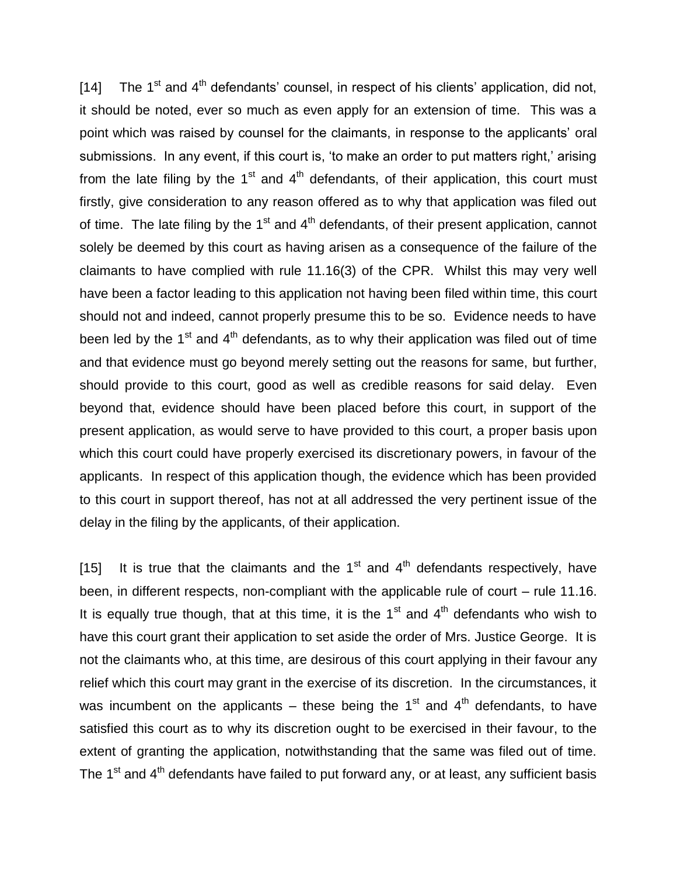[14] The 1<sup>st</sup> and 4<sup>th</sup> defendants' counsel, in respect of his clients' application, did not, it should be noted, ever so much as even apply for an extension of time. This was a point which was raised by counsel for the claimants, in response to the applicants' oral submissions. In any event, if this court is, 'to make an order to put matters right,' arising from the late filing by the  $1<sup>st</sup>$  and  $4<sup>th</sup>$  defendants, of their application, this court must firstly, give consideration to any reason offered as to why that application was filed out of time. The late filing by the  $1<sup>st</sup>$  and  $4<sup>th</sup>$  defendants, of their present application, cannot solely be deemed by this court as having arisen as a consequence of the failure of the claimants to have complied with rule 11.16(3) of the CPR. Whilst this may very well have been a factor leading to this application not having been filed within time, this court should not and indeed, cannot properly presume this to be so. Evidence needs to have been led by the  $1<sup>st</sup>$  and  $4<sup>th</sup>$  defendants, as to why their application was filed out of time and that evidence must go beyond merely setting out the reasons for same, but further, should provide to this court, good as well as credible reasons for said delay. Even beyond that, evidence should have been placed before this court, in support of the present application, as would serve to have provided to this court, a proper basis upon which this court could have properly exercised its discretionary powers, in favour of the applicants. In respect of this application though, the evidence which has been provided to this court in support thereof, has not at all addressed the very pertinent issue of the delay in the filing by the applicants, of their application.

[15] It is true that the claimants and the  $1<sup>st</sup>$  and  $4<sup>th</sup>$  defendants respectively, have been, in different respects, non-compliant with the applicable rule of court – rule 11.16. It is equally true though, that at this time, it is the  $1<sup>st</sup>$  and  $4<sup>th</sup>$  defendants who wish to have this court grant their application to set aside the order of Mrs. Justice George. It is not the claimants who, at this time, are desirous of this court applying in their favour any relief which this court may grant in the exercise of its discretion. In the circumstances, it was incumbent on the applicants – these being the  $1<sup>st</sup>$  and  $4<sup>th</sup>$  defendants, to have satisfied this court as to why its discretion ought to be exercised in their favour, to the extent of granting the application, notwithstanding that the same was filed out of time. The 1<sup>st</sup> and 4<sup>th</sup> defendants have failed to put forward any, or at least, any sufficient basis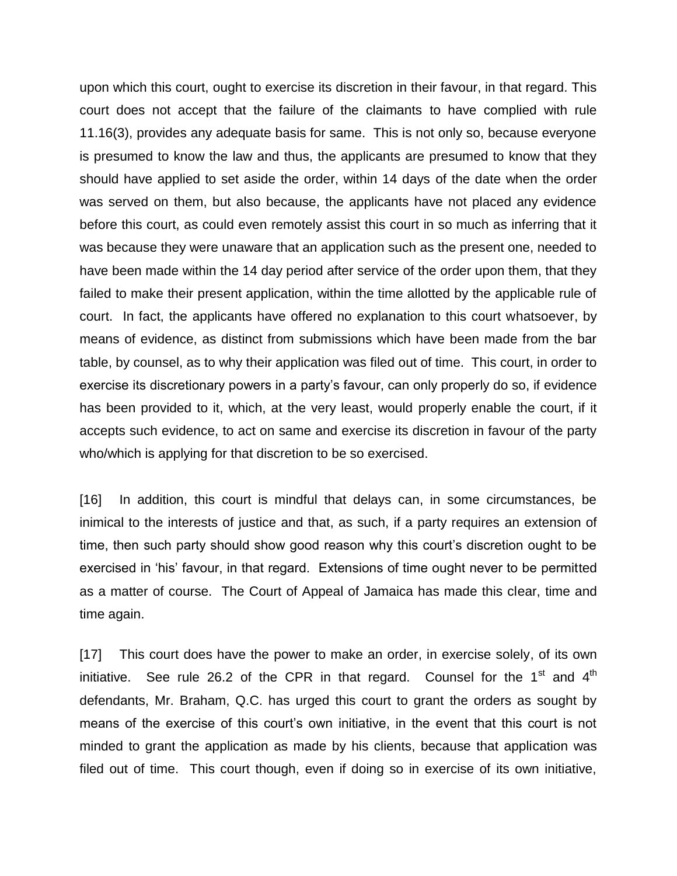upon which this court, ought to exercise its discretion in their favour, in that regard. This court does not accept that the failure of the claimants to have complied with rule 11.16(3), provides any adequate basis for same. This is not only so, because everyone is presumed to know the law and thus, the applicants are presumed to know that they should have applied to set aside the order, within 14 days of the date when the order was served on them, but also because, the applicants have not placed any evidence before this court, as could even remotely assist this court in so much as inferring that it was because they were unaware that an application such as the present one, needed to have been made within the 14 day period after service of the order upon them, that they failed to make their present application, within the time allotted by the applicable rule of court. In fact, the applicants have offered no explanation to this court whatsoever, by means of evidence, as distinct from submissions which have been made from the bar table, by counsel, as to why their application was filed out of time. This court, in order to exercise its discretionary powers in a party's favour, can only properly do so, if evidence has been provided to it, which, at the very least, would properly enable the court, if it accepts such evidence, to act on same and exercise its discretion in favour of the party who/which is applying for that discretion to be so exercised.

[16] In addition, this court is mindful that delays can, in some circumstances, be inimical to the interests of justice and that, as such, if a party requires an extension of time, then such party should show good reason why this court's discretion ought to be exercised in 'his' favour, in that regard. Extensions of time ought never to be permitted as a matter of course. The Court of Appeal of Jamaica has made this clear, time and time again.

[17] This court does have the power to make an order, in exercise solely, of its own initiative. See rule 26.2 of the CPR in that regard. Counsel for the  $1<sup>st</sup>$  and  $4<sup>th</sup>$ defendants, Mr. Braham, Q.C. has urged this court to grant the orders as sought by means of the exercise of this court's own initiative, in the event that this court is not minded to grant the application as made by his clients, because that application was filed out of time. This court though, even if doing so in exercise of its own initiative,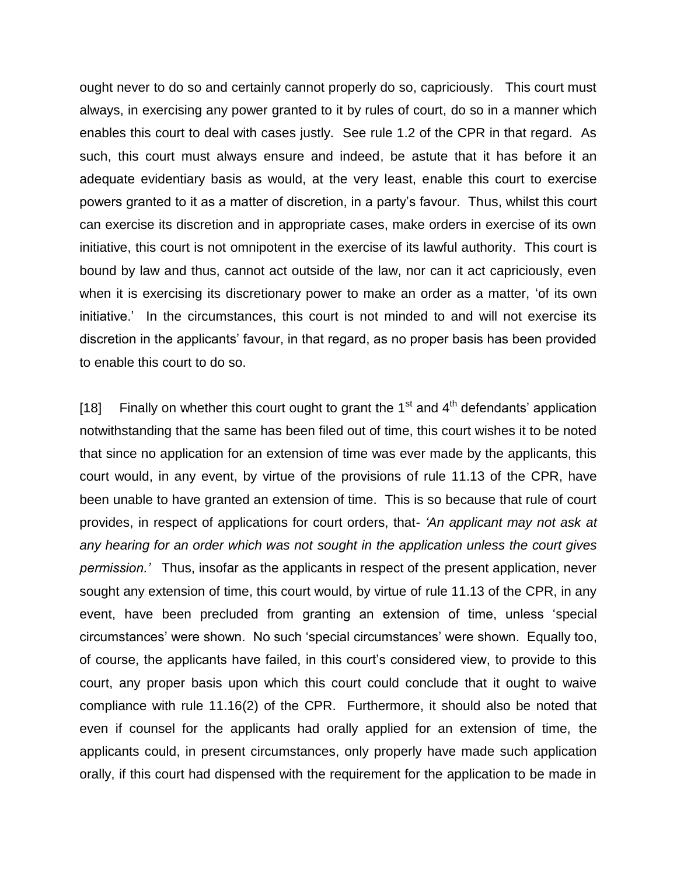ought never to do so and certainly cannot properly do so, capriciously. This court must always, in exercising any power granted to it by rules of court, do so in a manner which enables this court to deal with cases justly. See rule 1.2 of the CPR in that regard. As such, this court must always ensure and indeed, be astute that it has before it an adequate evidentiary basis as would, at the very least, enable this court to exercise powers granted to it as a matter of discretion, in a party's favour. Thus, whilst this court can exercise its discretion and in appropriate cases, make orders in exercise of its own initiative, this court is not omnipotent in the exercise of its lawful authority. This court is bound by law and thus, cannot act outside of the law, nor can it act capriciously, even when it is exercising its discretionary power to make an order as a matter, 'of its own initiative.' In the circumstances, this court is not minded to and will not exercise its discretion in the applicants' favour, in that regard, as no proper basis has been provided to enable this court to do so.

[18] Finally on whether this court ought to grant the  $1<sup>st</sup>$  and  $4<sup>th</sup>$  defendants' application notwithstanding that the same has been filed out of time, this court wishes it to be noted that since no application for an extension of time was ever made by the applicants, this court would, in any event, by virtue of the provisions of rule 11.13 of the CPR, have been unable to have granted an extension of time. This is so because that rule of court provides, in respect of applications for court orders, that- *'An applicant may not ask at any hearing for an order which was not sought in the application unless the court gives permission.'* Thus, insofar as the applicants in respect of the present application, never sought any extension of time, this court would, by virtue of rule 11.13 of the CPR, in any event, have been precluded from granting an extension of time, unless 'special circumstances' were shown. No such 'special circumstances' were shown. Equally too, of course, the applicants have failed, in this court's considered view, to provide to this court, any proper basis upon which this court could conclude that it ought to waive compliance with rule 11.16(2) of the CPR. Furthermore, it should also be noted that even if counsel for the applicants had orally applied for an extension of time, the applicants could, in present circumstances, only properly have made such application orally, if this court had dispensed with the requirement for the application to be made in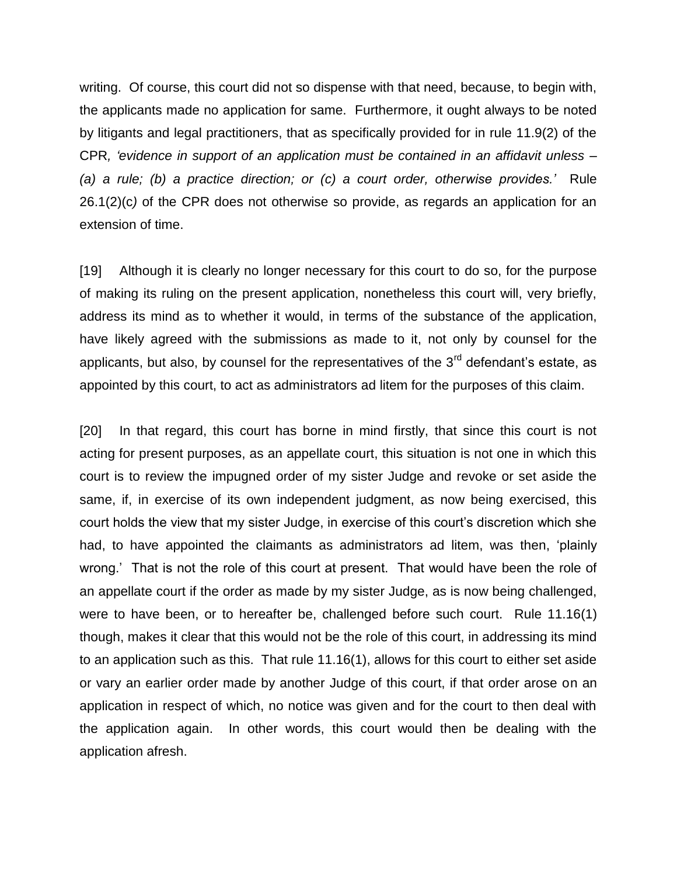writing. Of course, this court did not so dispense with that need, because, to begin with, the applicants made no application for same. Furthermore, it ought always to be noted by litigants and legal practitioners, that as specifically provided for in rule 11.9(2) of the CPR*, 'evidence in support of an application must be contained in an affidavit unless – (a) a rule; (b) a practice direction; or (c) a court order, otherwise provides.'* Rule 26.1(2)(c*)* of the CPR does not otherwise so provide, as regards an application for an extension of time.

[19] Although it is clearly no longer necessary for this court to do so, for the purpose of making its ruling on the present application, nonetheless this court will, very briefly, address its mind as to whether it would, in terms of the substance of the application, have likely agreed with the submissions as made to it, not only by counsel for the applicants, but also, by counsel for the representatives of the  $3<sup>rd</sup>$  defendant's estate, as appointed by this court, to act as administrators ad litem for the purposes of this claim.

[20] In that regard, this court has borne in mind firstly, that since this court is not acting for present purposes, as an appellate court, this situation is not one in which this court is to review the impugned order of my sister Judge and revoke or set aside the same, if, in exercise of its own independent judgment, as now being exercised, this court holds the view that my sister Judge, in exercise of this court's discretion which she had, to have appointed the claimants as administrators ad litem, was then, 'plainly wrong.' That is not the role of this court at present. That would have been the role of an appellate court if the order as made by my sister Judge, as is now being challenged, were to have been, or to hereafter be, challenged before such court. Rule 11.16(1) though, makes it clear that this would not be the role of this court, in addressing its mind to an application such as this. That rule 11.16(1), allows for this court to either set aside or vary an earlier order made by another Judge of this court, if that order arose on an application in respect of which, no notice was given and for the court to then deal with the application again. In other words, this court would then be dealing with the application afresh.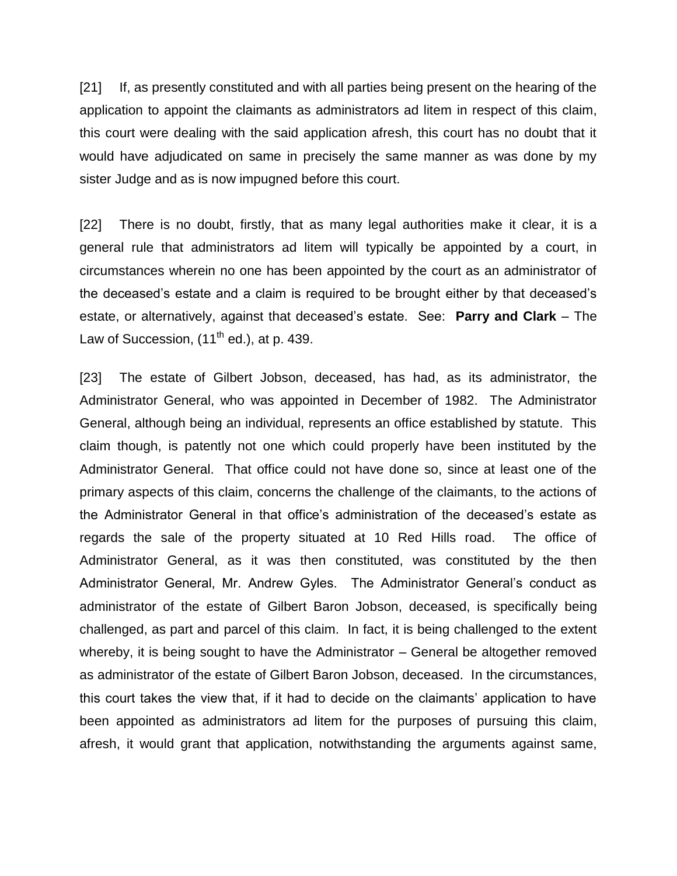[21] If, as presently constituted and with all parties being present on the hearing of the application to appoint the claimants as administrators ad litem in respect of this claim, this court were dealing with the said application afresh, this court has no doubt that it would have adjudicated on same in precisely the same manner as was done by my sister Judge and as is now impugned before this court.

[22] There is no doubt, firstly, that as many legal authorities make it clear, it is a general rule that administrators ad litem will typically be appointed by a court, in circumstances wherein no one has been appointed by the court as an administrator of the deceased's estate and a claim is required to be brought either by that deceased's estate, or alternatively, against that deceased's estate. See: **Parry and Clark** – The Law of Succession,  $(11<sup>th</sup>$  ed.), at p. 439.

[23] The estate of Gilbert Jobson, deceased, has had, as its administrator, the Administrator General, who was appointed in December of 1982. The Administrator General, although being an individual, represents an office established by statute. This claim though, is patently not one which could properly have been instituted by the Administrator General. That office could not have done so, since at least one of the primary aspects of this claim, concerns the challenge of the claimants, to the actions of the Administrator General in that office's administration of the deceased's estate as regards the sale of the property situated at 10 Red Hills road. The office of Administrator General, as it was then constituted, was constituted by the then Administrator General, Mr. Andrew Gyles. The Administrator General's conduct as administrator of the estate of Gilbert Baron Jobson, deceased, is specifically being challenged, as part and parcel of this claim. In fact, it is being challenged to the extent whereby, it is being sought to have the Administrator – General be altogether removed as administrator of the estate of Gilbert Baron Jobson, deceased. In the circumstances, this court takes the view that, if it had to decide on the claimants' application to have been appointed as administrators ad litem for the purposes of pursuing this claim, afresh, it would grant that application, notwithstanding the arguments against same,